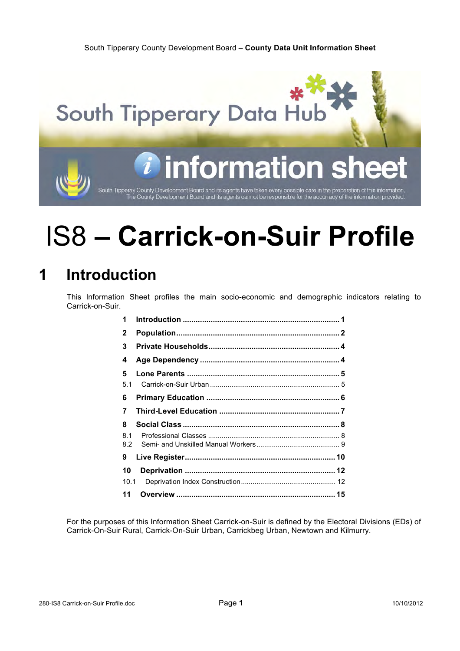South Tipperary County Development Board – **County Data Unit Information Sheet**



# information

South Tipperay County Development Board and its agents have taken every possible care in the preparation of this information<br>The County Development Board and its agents cannot be responsible for the accurracy of the inform

# IS8 **– Carrick-on-Suir Profile**

# **1 Introduction**

This Information Sheet profiles the main socio-economic and demographic indicators relating to Carrick-on-Suir.

| 1              |  |
|----------------|--|
| $\mathbf{2}$   |  |
| 3              |  |
| 4              |  |
| 5              |  |
| 5.1            |  |
| 6              |  |
| $\overline{7}$ |  |
| 8              |  |
| 81<br>8.2      |  |
| 9              |  |
| 10             |  |
| 10.1           |  |
| 11             |  |

For the purposes of this Information Sheet Carrick-on-Suir is defined by the Electoral Divisions (EDs) of Carrick-On-Suir Rural, Carrick-On-Suir Urban, Carrickbeg Urban, Newtown and Kilmurry.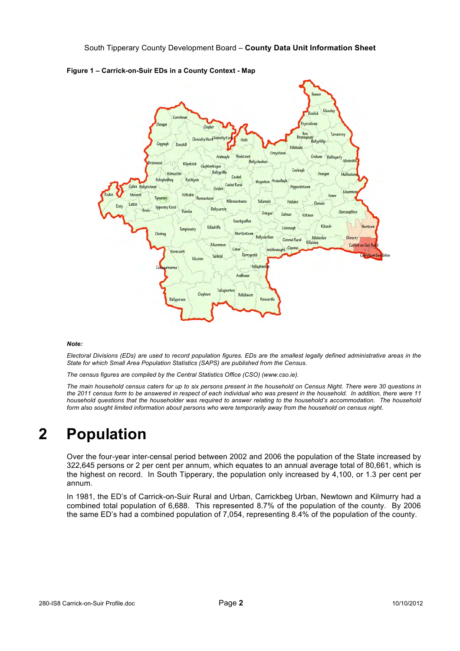

**Figure 1 – Carrick-on-Suir EDs in a County Context - Map**

#### *Note:*

*Electoral Divisions (EDs) are used to record population figures. EDs are the smallest legally defined administrative areas in the State for which Small Area Population Statistics (SAPS) are published from the Census.*

*The census figures are compiled by the Central Statistics Office (CSO) (www.cso.ie).*

*The main household census caters for up to six persons present in the household on Census Night. There were 30 questions in the 2011 census form to be answered in respect of each individual who was present in the household. In addition, there were 11 household questions that the householder was required to answer relating to the household's accommodation. The household form also sought limited information about persons who were temporarily away from the household on census night.*

## **2 Population**

Over the four-year inter-censal period between 2002 and 2006 the population of the State increased by 322,645 persons or 2 per cent per annum, which equates to an annual average total of 80,661, which is the highest on record. In South Tipperary, the population only increased by 4,100, or 1.3 per cent per annum.

In 1981, the ED's of Carrick-on-Suir Rural and Urban, Carrickbeg Urban, Newtown and Kilmurry had a combined total population of 6,688. This represented 8.7% of the population of the county. By 2006 the same ED's had a combined population of 7,054, representing 8.4% of the population of the county.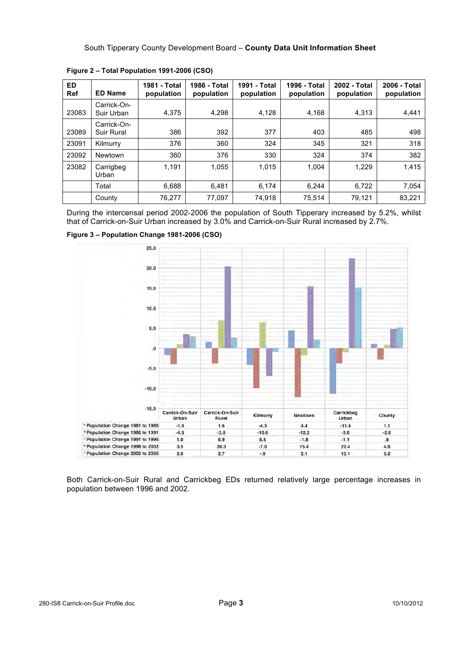| <b>ED</b><br><b>Ref</b> | <b>ED Name</b>            | 1981 - Total<br>population | 1986 - Total<br>population | 1991 - Total<br>population | 1996 - Total<br>population | 2002 - Total<br>population | 2006 - Total<br>population |
|-------------------------|---------------------------|----------------------------|----------------------------|----------------------------|----------------------------|----------------------------|----------------------------|
| 23083                   | Carrick-On-<br>Suir Urban | 4.375                      | 4,298                      | 4.128                      | 4,168                      | 4.313                      | 4,441                      |
| 23089                   | Carrick-On-<br>Suir Rural | 386                        | 392                        | 377                        | 403                        | 485                        | 498                        |
| 23091                   | Kilmurry                  | 376                        | 360                        | 324                        | 345                        | 321                        | 318                        |
| 23092                   | Newtown                   | 360                        | 376                        | 330                        | 324                        | 374                        | 382                        |
| 23082                   | Carrigbeg<br>Urban        | 1.191                      | 1,055                      | 1,015                      | 1,004                      | 1,229                      | 1,415                      |
|                         | Total                     | 6,688                      | 6,481                      | 6,174                      | 6,244                      | 6,722                      | 7,054                      |
|                         | County                    | 76,277                     | 77,097                     | 74,918                     | 75,514                     | 79,121                     | 83,221                     |

**Figure 2 – Total Population 1991-2006 (CSO)**

During the intercensal period 2002-2006 the population of South Tipperary increased by 5.2%, whilst that of Carrick-on-Suir Urban increased by 3.0% and Carrick-on-Suir Rural increased by 2.7%.



**Figure 3 – Population Change 1981-2006 (CSO)**

Both Carrick-on-Suir Rural and Carrickbeg EDs returned relatively large percentage increases in population between 1996 and 2002.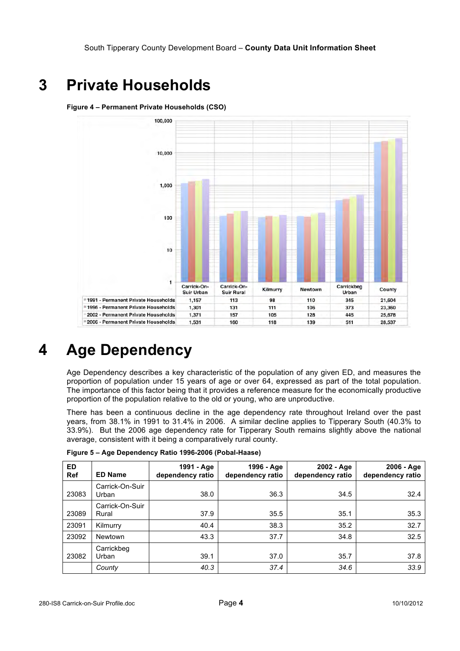## **3 Private Households**

#### **Figure 4 – Permanent Private Households (CSO)**



# **4 Age Dependency**

Age Dependency describes a key characteristic of the population of any given ED, and measures the proportion of population under 15 years of age or over 64, expressed as part of the total population. The importance of this factor being that it provides a reference measure for the economically productive proportion of the population relative to the old or young, who are unproductive.

There has been a continuous decline in the age dependency rate throughout Ireland over the past years, from 38.1% in 1991 to 31.4% in 2006. A similar decline applies to Tipperary South (40.3% to 33.9%). But the 2006 age dependency rate for Tipperary South remains slightly above the national average, consistent with it being a comparatively rural county.

| ED.<br><b>Ref</b> | <b>ED Name</b>           | 1991 - Age<br>dependency ratio | 1996 - Age<br>dependency ratio | 2002 - Age<br>dependency ratio | 2006 - Age<br>dependency ratio |
|-------------------|--------------------------|--------------------------------|--------------------------------|--------------------------------|--------------------------------|
| 23083             | Carrick-On-Suir<br>Urban | 38.0                           | 36.3                           | 34.5                           | 32.4                           |
| 23089             | Carrick-On-Suir<br>Rural | 37.9                           | 35.5                           | 35.1                           | 35.3                           |
| 23091             | Kilmurry                 | 40.4                           | 38.3                           | 35.2                           | 32.7                           |
| 23092             | Newtown                  | 43.3                           | 37.7                           | 34.8                           | 32.5                           |
| 23082             | Carrickbeg<br>Urban      | 39.1                           | 37.0                           | 35.7                           | 37.8                           |
|                   | County                   | 40.3                           | 37.4                           | 34.6                           | 33.9                           |

**Figure 5 – Age Dependency Ratio 1996-2006 (Pobal-Haase)**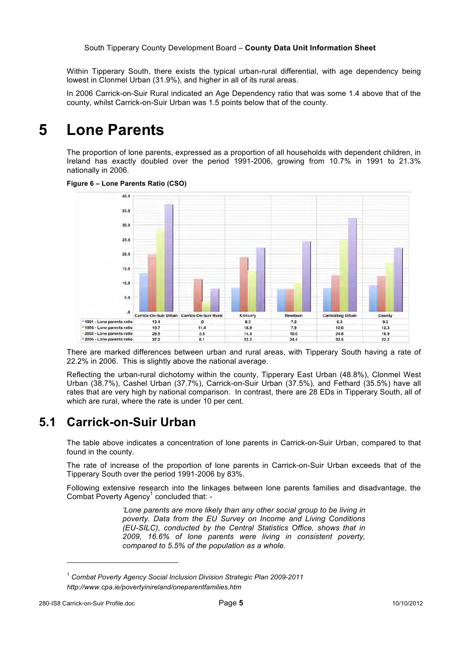Within Tipperary South, there exists the typical urban-rural differential, with age dependency being lowest in Clonmel Urban (31.9%), and higher in all of its rural areas.

In 2006 Carrick-on-Suir Rural indicated an Age Dependency ratio that was some 1.4 above that of the county, whilst Carrick-on-Suir Urban was 1.5 points below that of the county.

#### **5 Lone Parents**

The proportion of lone parents, expressed as a proportion of all households with dependent children, in Ireland has exactly doubled over the period 1991-2006, growing from 10.7% in 1991 to 21.3% nationally in 2006.



**Figure 6 – Lone Parents Ratio (CSO)**

There are marked differences between urban and rural areas, with Tipperary South having a rate of 22.2% in 2006. This is slightly above the national average.

Reflecting the urban-rural dichotomy within the county, Tipperary East Urban (48.8%), Clonmel West Urban (38.7%), Cashel Urban (37.7%), Carrick-on-Suir Urban (37.5%), and Fethard (35.5%) have all rates that are very high by national comparison. In contrast, there are 28 EDs in Tipperary South, all of which are rural, where the rate is under 10 per cent.

#### **5.1 Carrick-on-Suir Urban**

The table above indicates a concentration of lone parents in Carrick-on-Suir Urban, compared to that found in the county.

The rate of increase of the proportion of lone parents in Carrick-on-Suir Urban exceeds that of the Tipperary South over the period 1991-2006 by 83%.

Following extensive research into the linkages between lone parents families and disadvantage, the Combat Poverty Agency<sup>1</sup> concluded that: -

> *'Lone parents are more likely than any other social group to be living in poverty. Data from the EU Survey on Income and Living Conditions (EU-SILC), conducted by the Central Statistics Office, shows that in 2009, 16.6% of lone parents were living in consistent poverty, compared to 5.5% of the population as a whole.*

l

*<sup>1</sup> Combat Poverty Agency Social Inclusion Division Strategic Plan 2009-2011 http://www.cpa.ie/povertyinireland/oneparentfamilies.htm*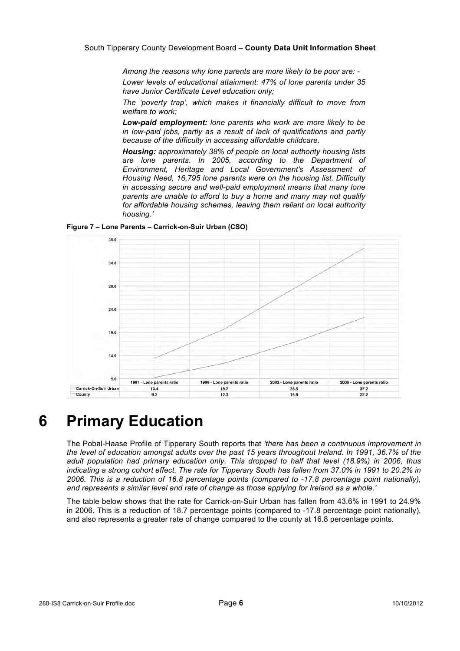*Among the reasons why lone parents are more likely to be poor are: -*

*Lower levels of educational attainment: 47% of lone parents under 35 have Junior Certificate Level education only;*

*The 'poverty trap', which makes it financially difficult to move from welfare to work;*

*Low-paid employment: lone parents who work are more likely to be in low-paid jobs, partly as a result of lack of qualifications and partly because of the difficulty in accessing affordable childcare.*

*Housing: approximately 38% of people on local authority housing lists are lone parents. In 2005, according to the Department of Environment, Heritage and Local Government's Assessment of Housing Need, 16,795 lone parents were on the housing list. Difficulty in accessing secure and well-paid employment means that many lone parents are unable to afford to buy a home and many may not qualify for affordable housing schemes, leaving them reliant on local authority housing.'*

**Figure 7 – Lone Parents – Carrick-on-Suir Urban (CSO)**



## **6 Primary Education**

The Pobal-Haase Profile of Tipperary South reports that *'there has been a continuous improvement in the level of education amongst adults over the past 15 years throughout Ireland. In 1991, 36.7% of the adult population had primary education only. This dropped to half that level (18.9%) in 2006, thus indicating a strong cohort effect. The rate for Tipperary South has fallen from 37.0% in 1991 to 20.2% in 2006. This is a reduction of 16.8 percentage points (compared to -17.8 percentage point nationally), and represents a similar level and rate of change as those applying for Ireland as a whole.'*

The table below shows that the rate for Carrick-on-Suir Urban has fallen from 43.6% in 1991 to 24.9% in 2006. This is a reduction of 18.7 percentage points (compared to -17.8 percentage point nationally), and also represents a greater rate of change compared to the county at 16.8 percentage points.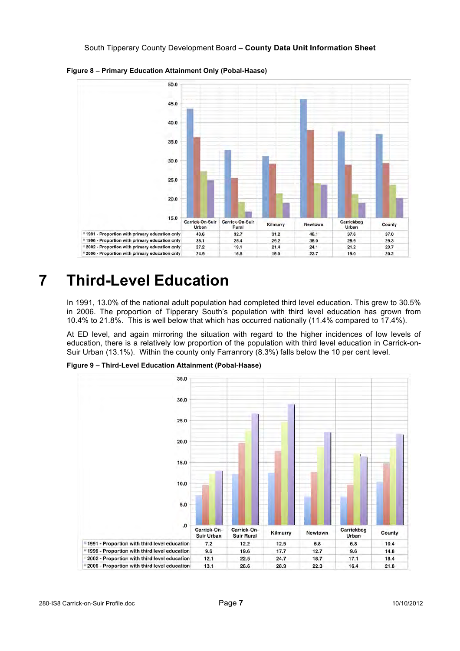

**Figure 8 – Primary Education Attainment Only (Pobal-Haase)**

## **7 Third-Level Education**

In 1991, 13.0% of the national adult population had completed third level education. This grew to 30.5% in 2006. The proportion of Tipperary South's population with third level education has grown from 10.4% to 21.8%. This is well below that which has occurred nationally (11.4% compared to 17.4%).

At ED level, and again mirroring the situation with regard to the higher incidences of low levels of education, there is a relatively low proportion of the population with third level education in Carrick-on-Suir Urban (13.1%). Within the county only Farranrory (8.3%) falls below the 10 per cent level.

**Figure 9 – Third-Level Education Attainment (Pobal-Haase)**

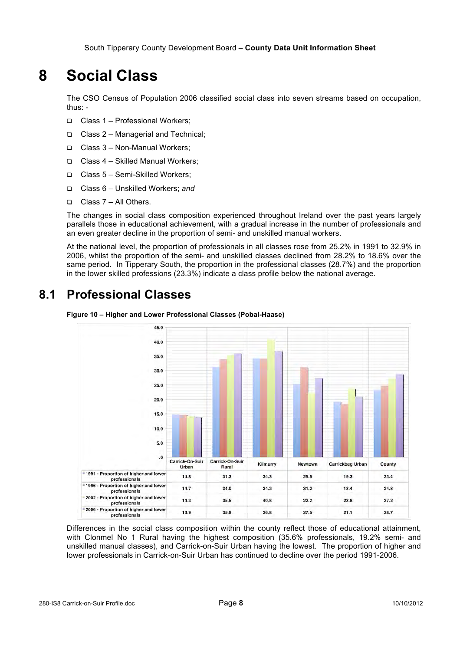## **8 Social Class**

The CSO Census of Population 2006 classified social class into seven streams based on occupation, thus: -

- Class 1 Professional Workers;
- □ Class 2 Managerial and Technical:
- Class 3 Non-Manual Workers;
- □ Class 4 Skilled Manual Workers;
- Class 5 Semi-Skilled Workers;
- Class 6 Unskilled Workers; *and*
- Class 7 All Others.

The changes in social class composition experienced throughout Ireland over the past years largely parallels those in educational achievement, with a gradual increase in the number of professionals and an even greater decline in the proportion of semi- and unskilled manual workers.

At the national level, the proportion of professionals in all classes rose from 25.2% in 1991 to 32.9% in 2006, whilst the proportion of the semi- and unskilled classes declined from 28.2% to 18.6% over the same period. In Tipperary South, the proportion in the professional classes (28.7%) and the proportion in the lower skilled professions (23.3%) indicate a class profile below the national average.

#### **8.1 Professional Classes**





Differences in the social class composition within the county reflect those of educational attainment, with Clonmel No 1 Rural having the highest composition (35.6% professionals, 19.2% semi- and unskilled manual classes), and Carrick-on-Suir Urban having the lowest. The proportion of higher and lower professionals in Carrick-on-Suir Urban has continued to decline over the period 1991-2006.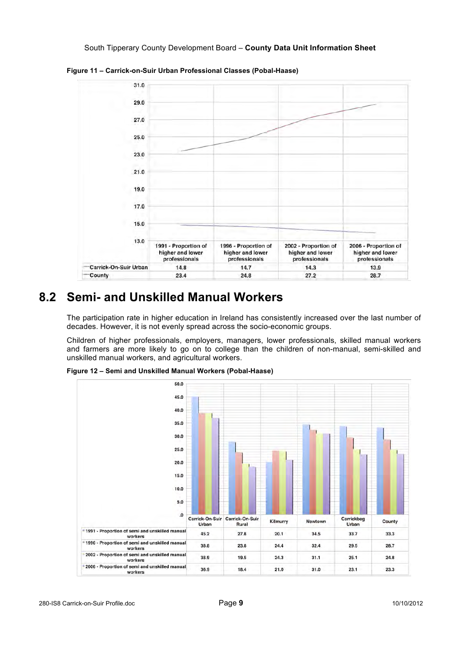

**Figure 11 – Carrick-on-Suir Urban Professional Classes (Pobal-Haase)**

#### **8.2 Semi- and Unskilled Manual Workers**

The participation rate in higher education in Ireland has consistently increased over the last number of decades. However, it is not evenly spread across the socio-economic groups.

Children of higher professionals, employers, managers, lower professionals, skilled manual workers and farmers are more likely to go on to college than the children of non-manual, semi-skilled and unskilled manual workers, and agricultural workers.



**Figure 12 – Semi and Unskilled Manual Workers (Pobal-Haase)**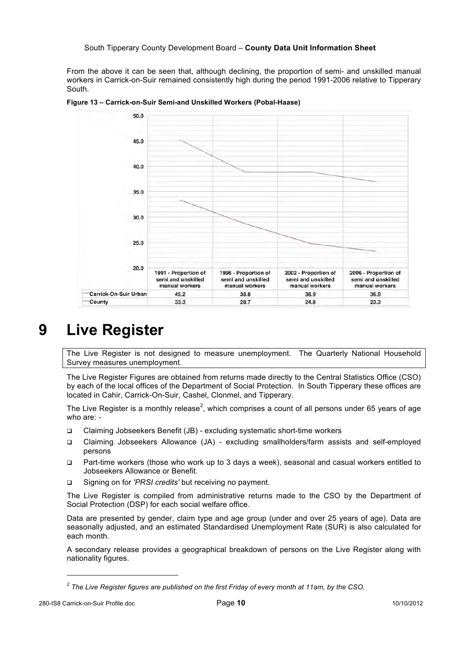From the above it can be seen that, although declining, the proportion of semi- and unskilled manual workers in Carrick-on-Suir remained consistently high during the period 1991-2006 relative to Tipperary South.



**Figure 13 – Carrick-on-Suir Semi-and Unskilled Workers (Pobal-Haase)**

## **9 Live Register**

The Live Register is not designed to measure unemployment. The Quarterly National Household Survey measures unemployment.

The Live Register Figures are obtained from returns made directly to the Central Statistics Office (CSO) by each of the local offices of the Department of Social Protection. In South Tipperary these offices are located in Cahir, Carrick-On-Suir, Cashel, Clonmel, and Tipperary.

The Live Register is a monthly release<sup>2</sup>, which comprises a count of all persons under 65 years of age who are: -

- Claiming Jobseekers Benefit (JB) excluding systematic short-time workers
- Claiming Jobseekers Allowance (JA) excluding smallholders/farm assists and self-employed persons
- Part-time workers (those who work up to 3 days a week), seasonal and casual workers entitled to Jobseekers Allowance or Benefit.
- Signing on for *'PRSI credits'* but receiving no payment.

The Live Register is compiled from administrative returns made to the CSO by the Department of Social Protection (DSP) for each social welfare office.

Data are presented by gender, claim type and age group (under and over 25 years of age). Data are seasonally adjusted, and an estimated Standardised Unemployment Rate (SUR) is also calculated for each month.

A secondary release provides a geographical breakdown of persons on the Live Register along with nationality figures.

l

*<sup>2</sup> The Live Register figures are published on the first Friday of every month at 11am, by the CSO.*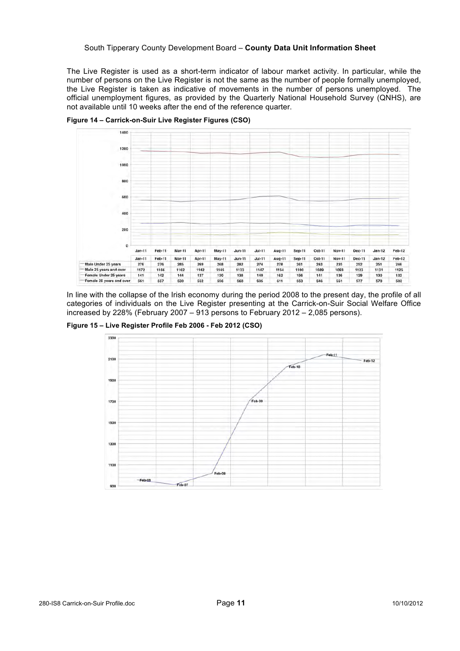The Live Register is used as a short-term indicator of labour market activity. In particular, while the number of persons on the Live Register is not the same as the number of people formally unemployed, the Live Register is taken as indicative of movements in the number of persons unemployed. The official unemployment figures, as provided by the Quarterly National Household Survey (QNHS), are not available until 10 weeks after the end of the reference quarter.



**Figure 14 – Carrick-on-Suir Live Register Figures (CSO)**

In line with the collapse of the Irish economy during the period 2008 to the present day, the profile of all categories of individuals on the Live Register presenting at the Carrick-on-Suir Social Welfare Office increased by 228% (February 2007 – 913 persons to February 2012 – 2,085 persons).

**Figure 15 – Live Register Profile Feb 2006 - Feb 2012 (CSO)**

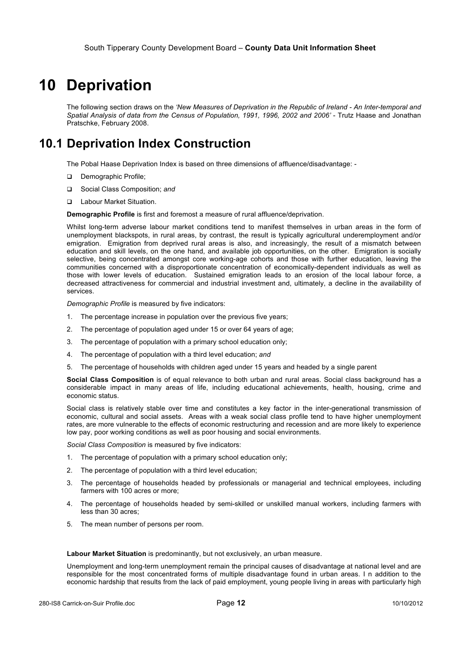#### **10 Deprivation**

The following section draws on the *'New Measures of Deprivation in the Republic of Ireland - An Inter-temporal and*  Spatial Analysis of data from the Census of Population, 1991, 1996, 2002 and 2006' - Trutz Haase and Jonathan Pratschke, February 2008.

#### **10.1 Deprivation Index Construction**

The Pobal Haase Deprivation Index is based on three dimensions of affluence/disadvantage: -

- Demographic Profile;
- Social Class Composition; *and*
- Labour Market Situation.

**Demographic Profile** is first and foremost a measure of rural affluence/deprivation.

Whilst long-term adverse labour market conditions tend to manifest themselves in urban areas in the form of unemployment blackspots, in rural areas, by contrast, the result is typically agricultural underemployment and/or emigration. Emigration from deprived rural areas is also, and increasingly, the result of a mismatch between education and skill levels, on the one hand, and available job opportunities, on the other. Emigration is socially selective, being concentrated amongst core working-age cohorts and those with further education, leaving the communities concerned with a disproportionate concentration of economically-dependent individuals as well as those with lower levels of education. Sustained emigration leads to an erosion of the local labour force, a decreased attractiveness for commercial and industrial investment and, ultimately, a decline in the availability of services.

*Demographic Profile* is measured by five indicators:

- 1. The percentage increase in population over the previous five years;
- 2. The percentage of population aged under 15 or over 64 years of age;
- 3. The percentage of population with a primary school education only;
- 4. The percentage of population with a third level education; *and*
- 5. The percentage of households with children aged under 15 years and headed by a single parent

**Social Class Composition** is of equal relevance to both urban and rural areas. Social class background has a considerable impact in many areas of life, including educational achievements, health, housing, crime and economic status.

Social class is relatively stable over time and constitutes a key factor in the inter-generational transmission of economic, cultural and social assets. Areas with a weak social class profile tend to have higher unemployment rates, are more vulnerable to the effects of economic restructuring and recession and are more likely to experience low pay, poor working conditions as well as poor housing and social environments.

*Social Class Composition* is measured by five indicators:

- 1. The percentage of population with a primary school education only;
- 2. The percentage of population with a third level education;
- 3. The percentage of households headed by professionals or managerial and technical employees, including farmers with 100 acres or more;
- 4. The percentage of households headed by semi-skilled or unskilled manual workers, including farmers with less than 30 acres;
- 5. The mean number of persons per room.

**Labour Market Situation** is predominantly, but not exclusively, an urban measure.

Unemployment and long-term unemployment remain the principal causes of disadvantage at national level and are responsible for the most concentrated forms of multiple disadvantage found in urban areas. I n addition to the economic hardship that results from the lack of paid employment, young people living in areas with particularly high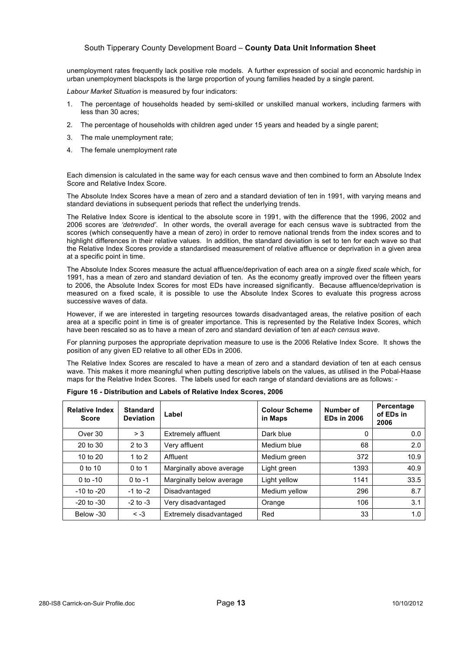#### South Tipperary County Development Board – **County Data Unit Information Sheet**

unemployment rates frequently lack positive role models. A further expression of social and economic hardship in urban unemployment blackspots is the large proportion of young families headed by a single parent.

*Labour Market Situation* is measured by four indicators:

- 1. The percentage of households headed by semi-skilled or unskilled manual workers, including farmers with less than 30 acres;
- 2. The percentage of households with children aged under 15 years and headed by a single parent;
- 3. The male unemployment rate;
- 4. The female unemployment rate

Each dimension is calculated in the same way for each census wave and then combined to form an Absolute Index Score and Relative Index Score.

The Absolute Index Scores have a mean of zero and a standard deviation of ten in 1991, with varying means and standard deviations in subsequent periods that reflect the underlying trends.

The Relative Index Score is identical to the absolute score in 1991, with the difference that the 1996, 2002 and 2006 scores are *'detrended'*. In other words, the overall average for each census wave is subtracted from the scores (which consequently have a mean of zero) in order to remove national trends from the index scores and to highlight differences in their relative values. In addition, the standard deviation is set to ten for each wave so that the Relative Index Scores provide a standardised measurement of relative affluence or deprivation in a given area at a specific point in time.

The Absolute Index Scores measure the actual affluence/deprivation of each area on a *single fixed scale* which, for 1991, has a mean of zero and standard deviation of ten. As the economy greatly improved over the fifteen years to 2006, the Absolute Index Scores for most EDs have increased significantly. Because affluence/deprivation is measured on a fixed scale, it is possible to use the Absolute Index Scores to evaluate this progress across successive waves of data.

However, if we are interested in targeting resources towards disadvantaged areas, the relative position of each area at a specific point in time is of greater importance. This is represented by the Relative Index Scores, which have been rescaled so as to have a mean of zero and standard deviation of ten *at each census wave*.

For planning purposes the appropriate deprivation measure to use is the 2006 Relative Index Score. It shows the position of any given ED relative to all other EDs in 2006.

The Relative Index Scores are rescaled to have a mean of zero and a standard deviation of ten at each census wave. This makes it more meaningful when putting descriptive labels on the values, as utilised in the Pobal-Haase maps for the Relative Index Scores. The labels used for each range of standard deviations are as follows: -

| <b>Relative Index</b><br><b>Score</b> | <b>Standard</b><br><b>Deviation</b> | Label                    | <b>Colour Scheme</b><br>in Maps | Number of<br><b>EDs in 2006</b> | Percentage<br>of EDs in<br>2006 |
|---------------------------------------|-------------------------------------|--------------------------|---------------------------------|---------------------------------|---------------------------------|
| Over 30                               | > 3                                 | Extremely affluent       | Dark blue                       | 0                               | 0.0                             |
| 20 to 30                              | $2$ to $3$                          | Very affluent            | Medium blue                     | 68                              | 2.0                             |
| 10 to 20                              | 1 to $2$                            | Affluent                 | Medium green                    | 372                             | 10.9                            |
| $0$ to 10                             | $0$ to 1                            | Marginally above average | Light green                     | 1393                            | 40.9                            |
| 0 to $-10$                            | $0$ to $-1$                         | Marginally below average | Light yellow                    | 1141                            | 33.5                            |
| $-10$ to $-20$                        | $-1$ to $-2$                        | Disadvantaged            | Medium yellow                   | 296                             | 8.7                             |
| $-20$ to $-30$                        | $-2$ to $-3$                        | Very disadvantaged       | Orange                          | 106                             | 3.1                             |
| Below -30                             | $\leq -3$                           | Extremely disadvantaged  | Red                             | 33                              | 1.0                             |

**Figure 16 - Distribution and Labels of Relative Index Scores, 2006**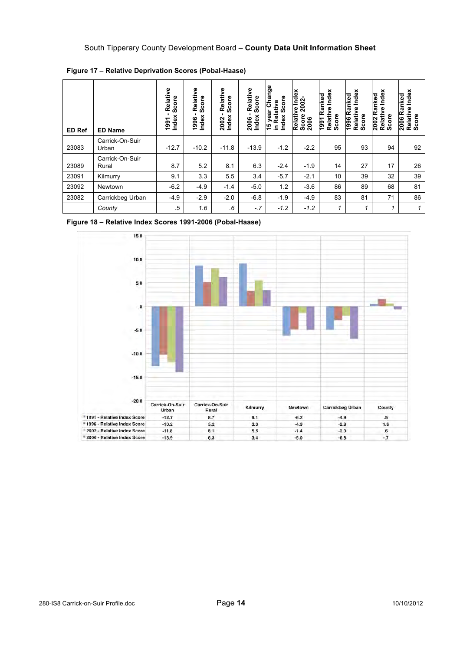| <b>ED Ref</b> | <b>ED Name</b>           | Relative<br>Score<br>Index<br>1991 | Relative<br>Score<br>Index<br>1996 | Relative<br>Score<br>Index<br>2002 | Relative<br>Score<br>Index<br>2006 | year Change<br>Index Score<br>Relative<br>$\frac{6}{7}$<br>Ξ. | Index<br>2002-<br>Relative<br>Score:<br>2006 | Index<br>Ranked<br>Relative<br>Score<br>1991 | Index<br>Ranked<br>Relative<br>Score<br>1996 | Index<br>Ranked<br>Relative<br>Score<br>2002 | Index<br>Ranked<br>Relative<br>Score<br>2006 |
|---------------|--------------------------|------------------------------------|------------------------------------|------------------------------------|------------------------------------|---------------------------------------------------------------|----------------------------------------------|----------------------------------------------|----------------------------------------------|----------------------------------------------|----------------------------------------------|
| 23083         | Carrick-On-Suir<br>Urban | $-12.7$                            | $-10.2$                            | $-11.8$                            | $-13.9$                            | $-1.2$                                                        | $-2.2$                                       | 95                                           | 93                                           | 94                                           | 92                                           |
| 23089         | Carrick-On-Suir<br>Rural | 8.7                                | 5.2                                | 8.1                                | 6.3                                | $-2.4$                                                        | $-1.9$                                       | 14                                           | 27                                           | 17                                           | 26                                           |
| 23091         | Kilmurry                 | 9.1                                | 3.3                                | 5.5                                | 3.4                                | $-5.7$                                                        | $-2.1$                                       | 10                                           | 39                                           | 32                                           | 39                                           |
| 23092         | Newtown                  | $-6.2$                             | $-4.9$                             | $-1.4$                             | $-5.0$                             | 1.2                                                           | $-3.6$                                       | 86                                           | 89                                           | 68                                           | 81                                           |
| 23082         | Carrickbeg Urban         | $-4.9$                             | $-2.9$                             | $-2.0$                             | $-6.8$                             | $-1.9$                                                        | $-4.9$                                       | 83                                           | 81                                           | 71                                           | 86                                           |
|               | County                   | .5                                 | 1.6                                | .6                                 | $-7$                               | $-1.2$                                                        | $-1.2$                                       | 1                                            | 1                                            | 1                                            |                                              |

**Figure 17 – Relative Deprivation Scores (Pobal-Haase)**



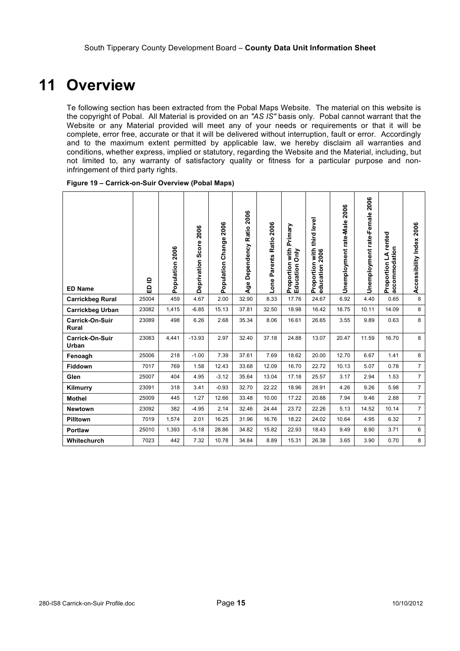## **11 Overview**

Te following section has been extracted from the Pobal Maps Website. The material on this website is the copyright of Pobal. All Material is provided on an *"AS IS"* basis only. Pobal cannot warrant that the Website or any Material provided will meet any of your needs or requirements or that it will be complete, error free, accurate or that it will be delivered without interruption, fault or error. Accordingly and to the maximum extent permitted by applicable law, we hereby disclaim all warranties and conditions, whether express, implied or statutory, regarding the Website and the Material, including, but not limited to, any warranty of satisfactory quality or fitness for a particular purpose and noninfringement of third party rights.

| Figure 19 - Carrick-on-Suir Overview (Pobal Maps) |  |
|---------------------------------------------------|--|
|---------------------------------------------------|--|

| <b>ED Name</b>                  | ≘<br>읎 | Population 2006 | Deprivation Score 2006 | 2006<br>Population Change | Age Dependency Ratio 2006 | 2006<br>Ratio:<br>Lone Parents | Primary<br>Proportion with<br>Education Only | Proportion with third level<br>education 2006 | Unemployment rate-Male 2006 | 2006<br>Unemployment rate-Female | rented<br>accommodation<br>Proportion LA | Accessibility Index 2006 |
|---------------------------------|--------|-----------------|------------------------|---------------------------|---------------------------|--------------------------------|----------------------------------------------|-----------------------------------------------|-----------------------------|----------------------------------|------------------------------------------|--------------------------|
| <b>Carrickbeg Rural</b>         | 25004  | 459             | 4.67                   | 2.00                      | 32.90                     | 8.33                           | 17.76                                        | 24.67                                         | 6.92                        | 4.40                             | 0.65                                     | 8                        |
| <b>Carrickbeg Urban</b>         | 23082  | 1,415           | $-6.85$                | 15.13                     | 37.81                     | 32.50                          | 18.98                                        | 16.42                                         | 18.75                       | 10.11                            | 14.09                                    | 8                        |
| <b>Carrick-On-Suir</b><br>Rural | 23089  | 498             | 6.26                   | 2.68                      | 35.34                     | 8.06                           | 16.61                                        | 26.65                                         | 3.55                        | 9.89                             | 0.63                                     | 8                        |
| Carrick-On-Suir<br>Urban        | 23083  | 4,441           | $-13.93$               | 2.97                      | 32.40                     | 37.18                          | 24.88                                        | 13.07                                         | 20.47                       | 11.59                            | 16.70                                    | 8                        |
| Fenoagh                         | 25006  | 218             | $-1.00$                | 7.39                      | 37.61                     | 7.69                           | 18.62                                        | 20.00                                         | 12.70                       | 6.67                             | 1.41                                     | 8                        |
| <b>Fiddown</b>                  | 7017   | 769             | 1.58                   | 12.43                     | 33.68                     | 12.09                          | 16.70                                        | 22.72                                         | 10.13                       | 5.07                             | 0.78                                     | $\overline{7}$           |
| Glen                            | 25007  | 404             | 4.95                   | $-3.12$                   | 35.64                     | 13.04                          | 17.18                                        | 25.57                                         | 3.17                        | 2.94                             | 1.53                                     | $\overline{7}$           |
| Kilmurry                        | 23091  | 318             | 3.41                   | $-0.93$                   | 32.70                     | 22.22                          | 18.96                                        | 28.91                                         | 4.26                        | 9.26                             | 5.98                                     | $\overline{7}$           |
| <b>Mothel</b>                   | 25009  | 445             | 1.27                   | 12.66                     | 33.48                     | 10.00                          | 17.22                                        | 20.88                                         | 7.94                        | 9.46                             | 2.88                                     | $\overline{7}$           |
| <b>Newtown</b>                  | 23092  | 382             | $-4.95$                | 2.14                      | 32.46                     | 24.44                          | 23.72                                        | 22.26                                         | 5.13                        | 14.52                            | 10.14                                    | $\overline{7}$           |
| Pilltown                        | 7019   | 1,574           | 2.01                   | 16.25                     | 31.96                     | 16.76                          | 18.22                                        | 24.02                                         | 10.64                       | 4.95                             | 6.32                                     | $\overline{7}$           |
| Portlaw                         | 25010  | 1,393           | $-5.18$                | 28.86                     | 34.82                     | 15.82                          | 22.93                                        | 18.43                                         | 9.49                        | 8.90                             | 3.71                                     | 6                        |
| Whitechurch                     | 7023   | 442             | 7.32                   | 10.78                     | 34.84                     | 8.89                           | 15.31                                        | 26.38                                         | 3.65                        | 3.90                             | 0.70                                     | 8                        |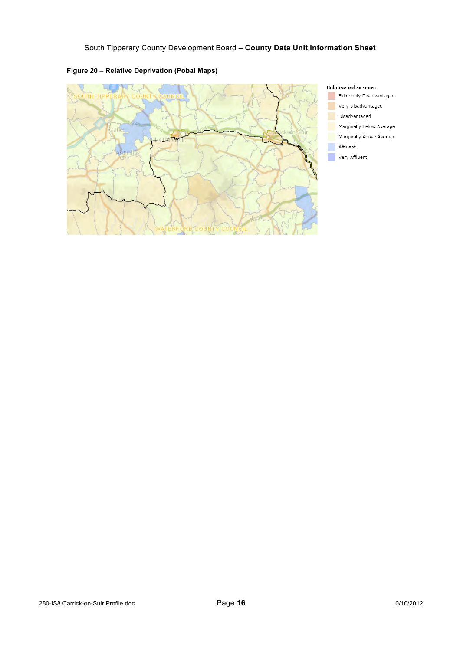

#### **Figure 20 – Relative Deprivation (Pobal Maps)**



Extremely Disadvantaged Very Disadvantaged

Disadvantaged

Marginally Below Average

- Marginally Above Average
- Affluent

Very Affluent